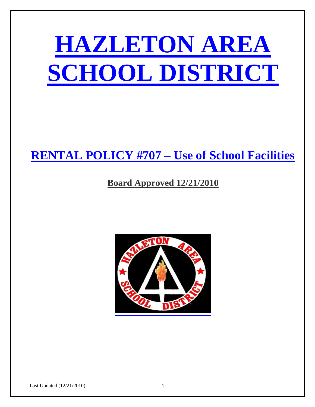

## **RENTAL POLICY #707 – Use of School Facilities**

### **Board Approved 12/21/2010**

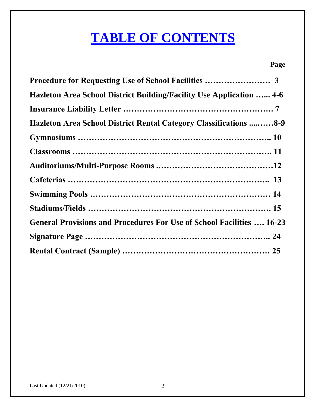# **TABLE OF CONTENTS**

### **Page**

| Hazleton Area School District Building/Facility Use Application  4-6         |  |
|------------------------------------------------------------------------------|--|
|                                                                              |  |
| Hazleton Area School District Rental Category Classifications 8-9            |  |
|                                                                              |  |
|                                                                              |  |
|                                                                              |  |
|                                                                              |  |
|                                                                              |  |
|                                                                              |  |
| <b>General Provisions and Procedures For Use of School Facilities  16-23</b> |  |
|                                                                              |  |
|                                                                              |  |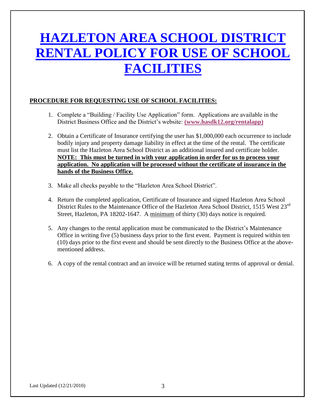# **HAZLETON AREA SCHOOL DISTRICT RENTAL POLICY FOR USE OF SCHOOL FACILITIES**

### **PROCEDURE FOR REQUESTING USE OF SCHOOL FACILITIES:**

- 1. Complete a "Building / Facility Use Application" form. Applications are available in the District Business Office and the District's website: **(www.hasdk12.org/rentalapp)**
- 2. Obtain a Certificate of Insurance certifying the user has \$1,000,000 each occurrence to include bodily injury and property damage liability in effect at the time of the rental. The certificate must list the Hazleton Area School District as an additional insured and certificate holder. **NOTE: This must be turned in with your application in order for us to process your application. No application will be processed without the certificate of insurance in the hands of the Business Office.**
- 3. Make all checks payable to the "Hazleton Area School District".
- 4. Return the completed application, Certificate of Insurance and signed Hazleton Area School District Rules to the Maintenance Office of the Hazleton Area School District, 1515 West 23<sup>rd</sup> Street, Hazleton, PA 18202-1647. A minimum of thirty (30) days notice is required.
- 5. Any changes to the rental application must be communicated to the District's Maintenance Office in writing five (5) business days prior to the first event. Payment is required within ten (10) days prior to the first event and should be sent directly to the Business Office at the abovementioned address.
- 6. A copy of the rental contract and an invoice will be returned stating terms of approval or denial.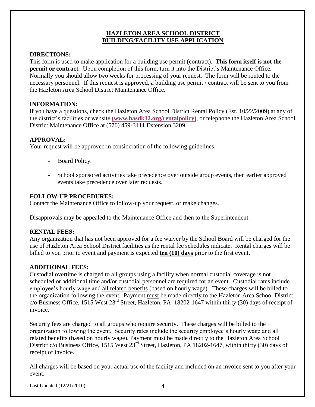### **HAZLETON AREA SCHOOL DISTRICT BUILDING/FACILITY USE APPLICATION**

### **DIRECTIONS:**

This form is used to make application for a building use permit (contract). **This form itself is not the permit or contract.** Upon completion of this form, turn it into the District's Maintenance Office. Normally you should allow two weeks for processing of your request. The form will be routed to the necessary personnel. If this request is approved, a building use permit / contract will be sent to you from the Hazleton Area School District Maintenance Office.

### **INFORMATION:**

If you have a questions, check the Hazleton Area School District Rental Policy (Est. 10/22/2009) at any of the district's facilities or website **(www.hasdk12.org/rentalpolicy)**, or telephone the Hazleton Area School District Maintenance Office at (570) 459-3111 Extension 3209.

### **APPROVAL:**

Your request will be approved in consideration of the following guidelines.

- Board Policy.
- School sponsored activities take precedence over outside group events, then earlier approved events take precedence over later requests.

### **FOLLOW-UP PROCEDURES:**

Contact the Maintenance Office to follow-up your request, or make changes.

Disapprovals may be appealed to the Maintenance Office and then to the Superintendent.

### **RENTAL FEES:**

Any organization that has not been approved for a fee waiver by the School Board will be charged for the use of Hazleton Area School District facilities as the rental fee schedules indicate. Rental charges will be billed to you prior to event and payment is expected **ten (10) days** prior to the first event.

### **ADDITIONAL FEES:**

Custodial overtime is charged to all groups using a facility when normal custodial coverage is not scheduled or additional time and/or custodial personnel are required for an event. Custodial rates include employee's hourly wage and all related benefits (based on hourly wage). These charges will be billed to the organization following the event. Payment must be made directly to the Hazleton Area School District c/o Business Office,  $1515$  West  $23<sup>rd</sup>$  Street, Hazleton, PA 18202-1647 within thirty (30) days of receipt of invoice.

Security fees are charged to all groups who require security. These charges will be billed to the organization following the event. Security rates include the security employee's hourly wage and all related benefits (based on hourly wage). Payment must be made directly to the Hazleton Area School District c/o Business Office, 1515 West  $23^{rd}$  Street, Hazleton, PA 18202-1647, within thirty (30) days of receipt of invoice.

All charges will be based on your actual use of the facility and included on an invoice sent to you after your event.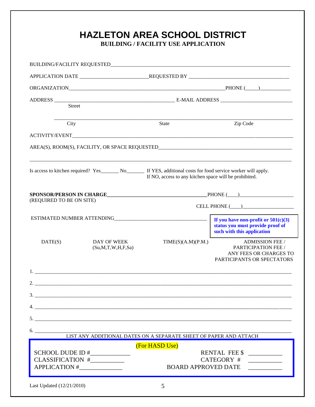| Street                   |                                                              |                                                                                                                                                                              |                                                                                                         |
|--------------------------|--------------------------------------------------------------|------------------------------------------------------------------------------------------------------------------------------------------------------------------------------|---------------------------------------------------------------------------------------------------------|
| City                     |                                                              | <b>State</b>                                                                                                                                                                 | Zip Code                                                                                                |
|                          |                                                              |                                                                                                                                                                              |                                                                                                         |
|                          |                                                              |                                                                                                                                                                              |                                                                                                         |
|                          |                                                              | Is access to kitchen required? Yes________ No________ If YES, additional costs for food service worker will apply.<br>If NO, access to any kitchen space will be prohibited. |                                                                                                         |
| (REQUIRED TO BE ON SITE) |                                                              |                                                                                                                                                                              |                                                                                                         |
|                          |                                                              |                                                                                                                                                                              |                                                                                                         |
|                          |                                                              |                                                                                                                                                                              | If you have non-profit or $501(c)(3)$<br>status you must provide proof of<br>such with this application |
| DATE(S)                  | DAY OF WEEK<br>(Su, M, T, W, H, F, Sa)                       | TIME(S)(A.M)(P.M.)                                                                                                                                                           | <b>ADMISSION FEE /</b><br>PARTICIPATION FEE /<br>ANY FEES OR CHARGES TO<br>PARTICIPANTS OR SPECTATORS   |
|                          |                                                              |                                                                                                                                                                              |                                                                                                         |
|                          |                                                              |                                                                                                                                                                              |                                                                                                         |
|                          | $\frac{1}{2}$                                                |                                                                                                                                                                              |                                                                                                         |
|                          |                                                              |                                                                                                                                                                              |                                                                                                         |
|                          | 5.                                                           |                                                                                                                                                                              |                                                                                                         |
|                          |                                                              | 6. LIST ANY ADDITIONAL DATES ON A SEPARATE SHEET OF PAPER AND ATTACH                                                                                                         |                                                                                                         |
|                          |                                                              | (For HASD Use)                                                                                                                                                               |                                                                                                         |
|                          | SCHOOL DUDE ID #_____________<br>CLASSIFICATION #___________ |                                                                                                                                                                              | RENTAL FEE \$                                                                                           |
|                          |                                                              |                                                                                                                                                                              | CATEGORY #                                                                                              |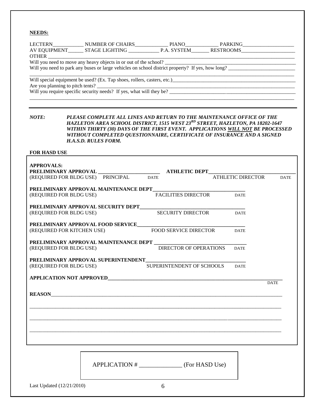#### **NEEDS:**

|                     |                                        |  |                     | Will you need to move any heavy objects in or out of the school?<br>Will you need to park any buses or large vehicles on school district property? If yes, how long? |             |
|---------------------|----------------------------------------|--|---------------------|----------------------------------------------------------------------------------------------------------------------------------------------------------------------|-------------|
|                     |                                        |  |                     |                                                                                                                                                                      |             |
|                     |                                        |  |                     |                                                                                                                                                                      |             |
|                     |                                        |  |                     |                                                                                                                                                                      |             |
|                     |                                        |  |                     | Are you planning to pitch tents?<br>Will you require specific security needs? If yes, what will they be?                                                             |             |
|                     |                                        |  |                     |                                                                                                                                                                      |             |
|                     |                                        |  |                     |                                                                                                                                                                      |             |
|                     |                                        |  |                     |                                                                                                                                                                      |             |
| NOTE:               |                                        |  |                     | PLEASE COMPLETE ALL LINES AND RETURN TO THE MAINTENANCE OFFICE OF THE                                                                                                |             |
|                     |                                        |  |                     | HAZLETON AREA SCHOOL DISTRICT, 1515 WEST 23RD STREET, HAZLETON, PA 18202-1647                                                                                        |             |
|                     |                                        |  |                     | WITHIN THIRTY (30) DAYS OF THE FIRST EVENT. APPLICATIONS WILL NOT BE PROCESSED                                                                                       |             |
|                     |                                        |  |                     | WITHOUT COMPLETED QUESTIONNAIRE, CERTIFICATE OF INSURANCE AND A SIGNED                                                                                               |             |
|                     | <b>H.A.S.D. RULES FORM.</b>            |  |                     |                                                                                                                                                                      |             |
| <b>FOR HASD USE</b> |                                        |  |                     |                                                                                                                                                                      |             |
|                     |                                        |  |                     |                                                                                                                                                                      |             |
| <b>APPROVALS:</b>   |                                        |  |                     |                                                                                                                                                                      |             |
|                     |                                        |  |                     | ATHLETIC DEPT                                                                                                                                                        |             |
|                     | (REQUIRED FOR BLDG USE) PRINCIPAL DATE |  |                     | <b>ATHLETIC DIRECTOR</b>                                                                                                                                             | <b>DATE</b> |
|                     |                                        |  |                     |                                                                                                                                                                      |             |
|                     | PRELIMINARY APPROVAL MAINTENANCE DEPT  |  |                     |                                                                                                                                                                      |             |
|                     | (REQUIRED FOR BLDG USE)                |  | FACILITIES DIRECTOR | <b>DATE</b>                                                                                                                                                          |             |
|                     |                                        |  |                     |                                                                                                                                                                      |             |
|                     | PRELIMINARY APPROVAL SECURITY DEPT     |  |                     |                                                                                                                                                                      |             |

(REQUIRED FOR BLDG USE) SECURITY DIRECTOR DATE

**PRELIMINARY APPROVAL FOOD SERVICE\_\_\_\_\_\_\_\_\_\_\_\_\_\_\_\_\_\_\_\_\_\_\_\_\_\_\_\_\_\_\_\_\_\_\_\_\_\_\_\_\_\_**  (REQUIRED FOR KITCHEN USE) FOOD SERVICE DIRECTOR DATE

**PRELIMINARY APPROVAL MAINTENANCE DEPT \_\_\_\_\_\_\_\_\_\_\_\_\_\_\_\_\_\_\_\_\_\_\_\_\_\_\_\_\_\_\_\_\_\_\_\_** (REQUIRED FOR BLDG USE)

PRELIMINARY APPROVAL SUPERINTENDENT\_ (REQUIRED FOR BLDG USE) SUPERINTENDENT OF SCHOOLS DATE

**APPLICATION NOT APPROVED\_\_\_\_\_\_\_\_\_\_\_\_\_\_\_\_\_\_\_\_\_\_\_\_\_\_\_\_\_\_\_\_\_\_\_\_\_\_\_\_\_\_\_\_\_\_\_\_\_\_\_\_\_\_\_\_\_\_\_\_\_\_\_\_\_\_\_\_**

**DATE** 

**REASON**\_\_\_\_\_\_\_\_\_\_\_\_\_\_\_\_\_\_\_\_\_\_\_\_\_\_\_\_\_\_\_\_\_\_\_\_\_\_\_\_\_\_\_\_\_\_\_\_\_\_\_\_\_\_\_\_\_\_\_\_\_\_\_\_\_\_\_\_\_\_\_\_\_\_\_\_\_\_\_\_\_\_\_\_\_\_\_\_\_\_

APPLICATION # (For HASD Use)

\_\_\_\_\_\_\_\_\_\_\_\_\_\_\_\_\_\_\_\_\_\_\_\_\_\_\_\_\_\_\_\_\_\_\_\_\_\_\_\_\_\_\_\_\_\_\_\_\_\_\_\_\_\_\_\_\_\_\_\_\_\_\_\_\_\_\_\_\_\_\_\_\_\_\_\_\_\_\_\_\_\_\_\_\_\_\_\_\_\_\_\_\_\_\_\_\_\_

\_\_\_\_\_\_\_\_\_\_\_\_\_\_\_\_\_\_\_\_\_\_\_\_\_\_\_\_\_\_\_\_\_\_\_\_\_\_\_\_\_\_\_\_\_\_\_\_\_\_\_\_\_\_\_\_\_\_\_\_\_\_\_\_\_\_\_\_\_\_\_\_\_\_\_\_\_\_\_\_\_\_\_\_\_\_\_\_\_\_\_\_\_\_\_\_\_\_

\_\_\_\_\_\_\_\_\_\_\_\_\_\_\_\_\_\_\_\_\_\_\_\_\_\_\_\_\_\_\_\_\_\_\_\_\_\_\_\_\_\_\_\_\_\_\_\_\_\_\_\_\_\_\_\_\_\_\_\_\_\_\_\_\_\_\_\_\_\_\_\_\_\_\_\_\_\_\_\_\_\_\_\_\_\_\_\_\_\_\_\_\_\_\_\_\_\_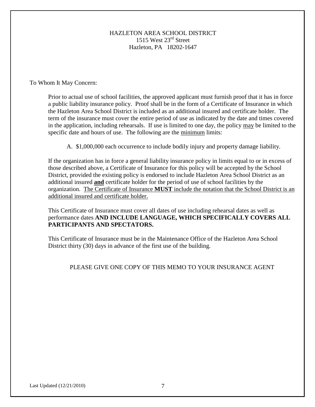### HAZLETON AREA SCHOOL DISTRICT 1515 West 23rd Street Hazleton, PA 18202-1647

To Whom It May Concern:

Prior to actual use of school facilities, the approved applicant must furnish proof that it has in force a public liability insurance policy. Proof shall be in the form of a Certificate of Insurance in which the Hazleton Area School District is included as an additional insured and certificate holder. The term of the insurance must cover the entire period of use as indicated by the date and times covered in the application, including rehearsals. If use is limited to one day, the policy may be limited to the specific date and hours of use. The following are the minimum limits:

A. \$1,000,000 each occurrence to include bodily injury and property damage liability.

If the organization has in force a general liability insurance policy in limits equal to or in excess of those described above, a Certificate of Insurance for this policy will be accepted by the School District, provided the existing policy is endorsed to include Hazleton Area School District as an additional insured **and** certificate holder for the period of use of school facilities by the organization. The Certificate of Insurance **MUST** include the notation that the School District is an additional insured and certificate holder.

This Certificate of Insurance must cover all dates of use including rehearsal dates as well as performance dates **AND INCLUDE LANGUAGE, WHICH SPECIFICALLY COVERS ALL PARTICIPANTS AND SPECTATORS.**

This Certificate of Insurance must be in the Maintenance Office of the Hazleton Area School District thirty (30) days in advance of the first use of the building.

### PLEASE GIVE ONE COPY OF THIS MEMO TO YOUR INSURANCE AGENT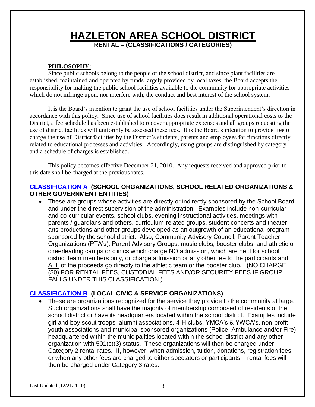### **HAZLETON AREA SCHOOL DISTRICT RENTAL – (CLASSIFICATIONS / CATEGORIES)**

### **PHILOSOPHY:**

Since public schools belong to the people of the school district, and since plant facilities are established, maintained and operated by funds largely provided by local taxes, the Board accepts the responsibility for making the public school facilities available to the community for appropriate activities which do not infringe upon, nor interfere with, the conduct and best interest of the school system.

It is the Board's intention to grant the use of school facilities under the Superintendent's direction in accordance with this policy. Since use of school facilities does result in additional operational costs to the District, a fee schedule has been established to recover appropriate expenses and all groups requesting the use of district facilities will uniformly be assessed these fees. It is the Board's intention to provide free of charge the use of District facilities by the District's students, parents and employees for functions directly related to educational processes and activities. Accordingly, using groups are distinguished by category and a schedule of charges is established.

This policy becomes effective December 21, 2010. Any requests received and approved prior to this date shall be charged at the previous rates.

### **CLASSIFICATION A (SCHOOL ORGANIZATIONS, SCHOOL RELATED ORGANIZATIONS & OTHER GOVERNMENT ENTITIES)**

• These are groups whose activities are directly or indirectly sponsored by the School Board and under the direct supervision of the administration. Examples include non-curricular and co-curricular events, school clubs, evening instructional activities, meetings with parents / guardians and others, curriculum-related groups, student concerts and theater arts productions and other groups developed as an outgrowth of an educational program sponsored by the school district. Also, Community Advisory Council, Parent Teacher Organizations (PTA's), Parent Advisory Groups, music clubs, booster clubs, and athletic or cheerleading camps or clinics which charge NO admission, which are held for school district team members only, or charge admission or any other fee to the participants and ALL of the proceeds go directly to the athletic team or the booster club. (NO CHARGE (\$0) FOR RENTAL FEES, CUSTODIAL FEES AND/OR SECURITY FEES IF GROUP FALLS UNDER THIS CLASSIFICATION.)

### **CLASSIFICATION B (LOCAL CIVIC & SERVICE ORGANIZATIONS)**

 These are organizations recognized for the service they provide to the community at large. Such organizations shall have the majority of membership composed of residents of the school district or have its headquarters located within the school district. Examples include girl and boy scout troops, alumni associations, 4-H clubs, YMCA's & YWCA's, non-profit youth associations and municipal sponsored organizations (Police, Ambulance and/or Fire) headquartered within the municipalities located within the school district and any other organization with 501(c)(3) status. These organizations will then be charged under Category 2 rental rates.If, however, when admission, tuition, donations, registration fees, or when any other fees are charged to either spectators or participants – rental fees will then be charged under Category 3 rates.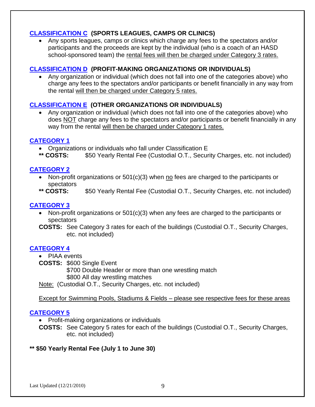### **CLASSIFICATION C (SPORTS LEAGUES, CAMPS OR CLINICS)**

 Any sports leagues, camps or clinics which charge any fees to the spectators and/or participants and the proceeds are kept by the individual (who is a coach of an HASD school-sponsored team) the rental fees will then be charged under Category 3 rates.

### **CLASSIFICATION D (PROFIT-MAKING ORGANIZATIONS OR INDIVIDUALS)**

 Any organization or individual (which does not fall into one of the categories above) who charge any fees to the spectators and/or participants or benefit financially in any way from the rental will then be charged under Category 5 rates.

### **CLASSIFICATION E (OTHER ORGANIZATIONS OR INDIVIDUALS)**

 Any organization or individual (which does not fall into one of the categories above) who does NOT charge any fees to the spectators and/or participants or benefit financially in any way from the rental will then be charged under Category 1 rates.

### **CATEGORY 1**

- Organizations or individuals who fall under Classification E
- **\*\* COSTS:** \$50 Yearly Rental Fee (Custodial O.T., Security Charges, etc. not included)

### **CATEGORY 2**

- Non-profit organizations or 501(c)(3) when no fees are charged to the participants or spectators
- **\*\* COSTS:** \$50 Yearly Rental Fee (Custodial O.T., Security Charges, etc. not included)

### **CATEGORY 3**

• Non-profit organizations or 501(c)(3) when any fees are charged to the participants or spectators

**COSTS:** See Category 3 rates for each of the buildings (Custodial O.T., Security Charges, etc. not included)

### **CATEGORY 4**

• PIAA events

**COSTS:** \$600 Single Event

\$700 Double Header or more than one wrestling match \$800 All day wrestling matches

Note: (Custodial O.T., Security Charges, etc. not included)

Except for Swimming Pools, Stadiums & Fields – please see respective fees for these areas

### **CATEGORY 5**

• Profit-making organizations or individuals

**COSTS:** See Category 5 rates for each of the buildings (Custodial O.T., Security Charges, etc. not included)

### **\*\* \$50 Yearly Rental Fee (July 1 to June 30)**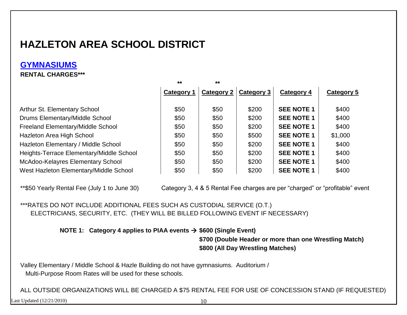## **GYMNASIUMS**

### **RENTAL CHARGES\*\*\***

|                                          | $\star\star$      | $**$              |            |                   |            |
|------------------------------------------|-------------------|-------------------|------------|-------------------|------------|
|                                          | <b>Category 1</b> | <b>Category 2</b> | Category 3 | Category 4        | Category 5 |
| Arthur St. Elementary School             | \$50              | \$50              | \$200      | <b>SEE NOTE 1</b> | \$400      |
| Drums Elementary/Middle School           | \$50              | \$50              | \$200      | <b>SEE NOTE 1</b> | \$400      |
| Freeland Elementary/Middle School        | \$50              | \$50              | \$200      | <b>SEE NOTE 1</b> | \$400      |
| Hazleton Area High School                | \$50              | \$50              | \$500      | <b>SEE NOTE 1</b> | \$1,000    |
| Hazleton Elementary / Middle School      | \$50              | \$50              | \$200      | <b>SEE NOTE 1</b> | \$400      |
| Heights-Terrace Elementary/Middle School | \$50              | \$50              | \$200      | <b>SEE NOTE 1</b> | \$400      |
| McAdoo-Kelayres Elementary School        | \$50              | \$50              | \$200      | <b>SEE NOTE 1</b> | \$400      |
| West Hazleton Elementary/Middle School   | \$50              | \$50              | \$200      | <b>SEE NOTE 1</b> | \$400      |

\*\*\$50 Yearly Rental Fee (July 1 to June 30) Category 3, 4 & 5 Rental Fee charges are per "charged" or "profitable" event

### \*\*\*RATES DO NOT INCLUDE ADDITIONAL FEES SUCH AS CUSTODIAL SERVICE (O.T.) ELECTRICIANS, SECURITY, ETC. (THEY WILL BE BILLED FOLLOWING EVENT IF NECESSARY)

 **NOTE 1: Category 4 applies to PIAA events \$600 (Single Event)**

**\$700 (Double Header or more than one Wrestling Match) \$800 (All Day Wrestling Matches)**

Valley Elementary / Middle School & Hazle Building do not have gymnasiums. Auditorium / Multi-Purpose Room Rates will be used for these schools.

ALL OUTSIDE ORGANIZATIONS WILL BE CHARGED A \$75 RENTAL FEE FOR USE OF CONCESSION STAND (IF REQUESTED)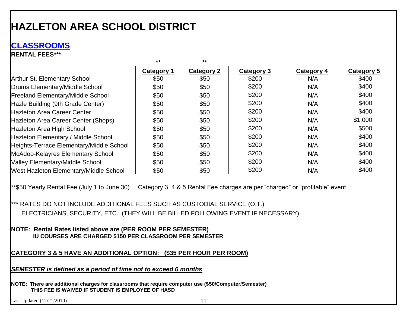### **CLASSROOMS**

**RENTAL FEES\*\*\***

|                                          | $***$      | $***$      |            |            |            |
|------------------------------------------|------------|------------|------------|------------|------------|
|                                          | Category 1 | Category 2 | Category 3 | Category 4 | Category 5 |
| <b>Arthur St. Elementary School</b>      | \$50       | \$50       | \$200      | N/A        | \$400      |
| Drums Elementary/Middle School           | \$50       | \$50       | \$200      | N/A        | \$400      |
| <b>Freeland Elementary/Middle School</b> | \$50       | \$50       | \$200      | N/A        | \$400      |
| Hazle Building (9th Grade Center)        | \$50       | \$50       | \$200      | N/A        | \$400      |
| <b>Hazleton Area Career Center</b>       | \$50       | \$50       | \$200      | N/A        | \$400      |
| Hazleton Area Career Center (Shops)      | \$50       | \$50       | \$200      | N/A        | \$1,000    |
| Hazleton Area High School                | \$50       | \$50       | \$200      | N/A        | \$500      |
| Hazleton Elementary / Middle School      | \$50       | \$50       | \$200      | N/A        | \$400      |
| Heights-Terrace Elementary/Middle School | \$50       | \$50       | \$200      | N/A        | \$400      |
| McAdoo-Kelayres Elementary School        | \$50       | \$50       | \$200      | N/A        | \$400      |
| Valley Elementary/Middle School          | \$50       | \$50       | \$200      | N/A        | \$400      |
| West Hazleton Elementary/Middle School   | \$50       | \$50       | \$200      | N/A        | \$400      |

\*\*\$50 Yearly Rental Fee (July 1 to June 30) Category 3, 4 & 5 Rental Fee charges are per "charged" or "profitable" event

\*\*\* RATES DO NOT INCLUDE ADDITIONAL FEES SUCH AS CUSTODIAL SERVICE (O.T.), ELECTRICIANS, SECURITY, ETC. (THEY WILL BE BILLED FOLLOWING EVENT IF NECESSARY)

**NOTE: Rental Rates listed above are (PER ROOM PER SEMESTER) IU COURSES ARE CHARGED \$150 PER CLASSROOM PER SEMESTER**

### **CATEGORY 3 & 5 HAVE AN ADDITIONAL OPTION: (\$35 PER HOUR PER ROOM)**

*SEMESTER is defined as a period of time not to exceed 6 months*

**NOTE: There are additional charges for classrooms that require computer use (\$50/Computer/Semester) THIS FEE IS WAIVED IF STUDENT IS EMPLOYEE OF HASD**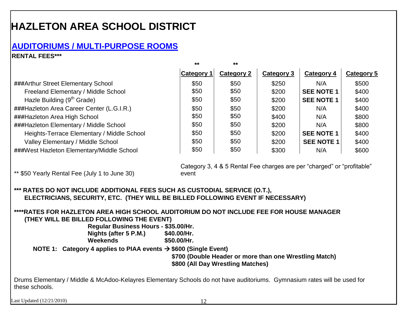### **AUDITORIUMS / MULTI-PURPOSE ROOMS**

### **RENTAL FEES\*\*\***

|                                            | $***$             | $**$       |            |                   |            |
|--------------------------------------------|-------------------|------------|------------|-------------------|------------|
|                                            | <b>Category 1</b> | Category 2 | Category 3 | Category 4        | Category 5 |
| ###Arthur Street Elementary School         | \$50              | \$50       | \$250      | N/A               | \$500      |
| Freeland Elementary / Middle School        | \$50              | \$50       | \$200      | <b>SEE NOTE 1</b> | \$400      |
| Hazle Building (9 <sup>th</sup> Grade)     | \$50              | \$50       | \$200      | <b>SEE NOTE 1</b> | \$400      |
| ###Hazleton Area Career Center (L.G.I.R.)  | \$50              | \$50       | \$200      | N/A               | \$400      |
| ###Hazleton Area High School               | \$50              | \$50       | \$400      | N/A               | \$800      |
| ###Hazleton Elementary / Middle School     | \$50              | \$50       | \$200      | N/A               | \$800      |
| Heights-Terrace Elementary / Middle School | \$50              | \$50       | \$200      | <b>SEE NOTE 1</b> | \$400      |
| Valley Elementary / Middle School          | \$50              | \$50       | \$200      | <b>SEE NOTE 1</b> | \$400      |
| ###West Hazleton Elementary/Middle School  | \$50              | \$50       | \$300      | N/A               | \$600      |

Category 3, 4 & 5 Rental Fee charges are per "charged" or "profitable" event

\*\* \$50 Yearly Rental Fee (July 1 to June 30)

**\*\*\* RATES DO NOT INCLUDE ADDITIONAL FEES SUCH AS CUSTODIAL SERVICE (O.T.), ELECTRICIANS, SECURITY, ETC. (THEY WILL BE BILLED FOLLOWING EVENT IF NECESSARY)**

### **\*\*\*\*RATES FOR HAZLETON AREA HIGH SCHOOL AUDITORIUM DO NOT INCLUDE FEE FOR HOUSE MANAGER (THEY WILL BE BILLED FOLLOWING THE EVENT)**

 **Regular Business Hours - \$35.00/Hr. Nights (after 5 P.M.) \$40.00/Hr.**

 **Weekends \$50.00/Hr.**

 **NOTE 1: Category 4 applies to PIAA events \$600 (Single Event)**

 **\$700 (Double Header or more than one Wrestling Match) \$800 (All Day Wrestling Matches)**

Drums Elementary / Middle & McAdoo-Kelayres Elementary Schools do not have auditoriums. Gymnasium rates will be used for these schools.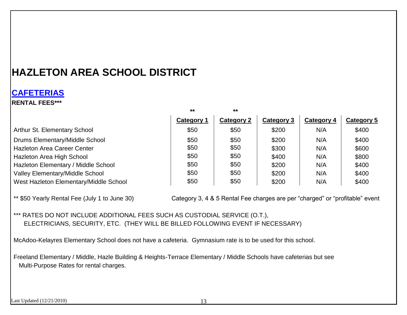### **CAFETERIAS**

**RENTAL FEES\*\*\***

|                                        | $**$       | $\star\star$      |            |            |            |
|----------------------------------------|------------|-------------------|------------|------------|------------|
|                                        | Category 1 | <b>Category 2</b> | Category 3 | Category 4 | Category 5 |
| <b>Arthur St. Elementary School</b>    | \$50       | \$50              | \$200      | N/A        | \$400      |
| Drums Elementary/Middle School         | \$50       | \$50              | \$200      | N/A        | \$400      |
| <b>Hazleton Area Career Center</b>     | \$50       | \$50              | \$300      | N/A        | \$600      |
| Hazleton Area High School              | \$50       | \$50              | \$400      | N/A        | \$800      |
| Hazleton Elementary / Middle School    | \$50       | \$50              | \$200      | N/A        | \$400      |
| <b>Valley Elementary/Middle School</b> | \$50       | \$50              | \$200      | N/A        | \$400      |
| West Hazleton Elementary/Middle School | \$50       | \$50              | \$200      | N/A        | \$400      |

\*\* \$50 Yearly Rental Fee (July 1 to June 30) Category 3, 4 & 5 Rental Fee charges are per "charged" or "profitable" event

\*\*\* RATES DO NOT INCLUDE ADDITIONAL FEES SUCH AS CUSTODIAL SERVICE (O.T.), ELECTRICIANS, SECURITY, ETC. (THEY WILL BE BILLED FOLLOWING EVENT IF NECESSARY)

McAdoo-Kelayres Elementary School does not have a cafeteria. Gymnasium rate is to be used for this school.

Freeland Elementary / Middle, Hazle Building & Heights-Terrace Elementary / Middle Schools have cafeterias but see Multi-Purpose Rates for rental charges.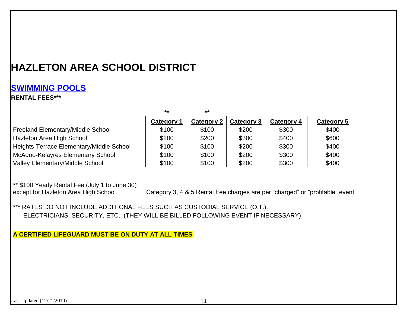### **SWIMMING POOLS**

### **RENTAL FEES\*\*\***

|                                          | $**$              | $***$             |            |            |            |
|------------------------------------------|-------------------|-------------------|------------|------------|------------|
|                                          | <b>Category 1</b> | <b>Category 2</b> | Category 3 | Category 4 | Category 5 |
| Freeland Elementary/Middle School        | \$100             | \$100             | \$200      | \$300      | \$400      |
| Hazleton Area High School                | \$200             | \$200             | \$300      | \$400      | \$600      |
| Heights-Terrace Elementary/Middle School | \$100             | \$100             | \$200      | \$300      | \$400      |
| McAdoo-Kelayres Elementary School        | \$100             | \$100             | \$200      | \$300      | \$400      |
| <b>Valley Elementary/Middle School</b>   | \$100             | \$100             | \$200      | \$300      | \$400      |

\*\* \$100 Yearly Rental Fee (July 1 to June 30)

Category 3, 4 & 5 Rental Fee charges are per "charged" or "profitable" event

\*\*\* RATES DO NOT INCLUDE ADDITIONAL FEES SUCH AS CUSTODIAL SERVICE (O.T.), ELECTRICIANS, SECURITY, ETC. (THEY WILL BE BILLED FOLLOWING EVENT IF NECESSARY)

**A CERTIFIED LIFEGUARD MUST BE ON DUTY AT ALL TIMES**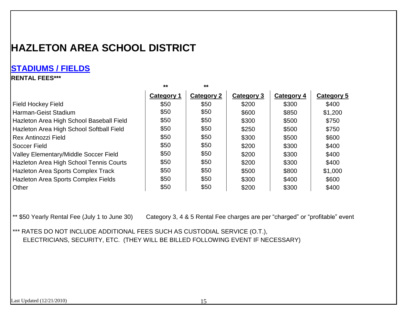### **STADIUMS / FIELDS**

### **RENTAL FEES\*\*\***

|                                           | $***$      | $***$             |            |            |            |
|-------------------------------------------|------------|-------------------|------------|------------|------------|
|                                           | Category 1 | <b>Category 2</b> | Category 3 | Category 4 | Category 5 |
| Field Hockey Field                        | \$50       | \$50              | \$200      | \$300      | \$400      |
| Harman-Geist Stadium                      | \$50       | \$50              | \$600      | \$850      | \$1,200    |
| Hazleton Area High School Baseball Field  | \$50       | \$50              | \$300      | \$500      | \$750      |
| Hazleton Area High School Softball Field  | \$50       | \$50              | \$250      | \$500      | \$750      |
| Rex Antinozzi Field                       | \$50       | \$50              | \$300      | \$500      | \$600      |
| Soccer Field                              | \$50       | \$50              | \$200      | \$300      | \$400      |
| Valley Elementary/Middle Soccer Field     | \$50       | \$50              | \$200      | \$300      | \$400      |
| Hazleton Area High School Tennis Courts   | \$50       | \$50              | \$200      | \$300      | \$400      |
| <b>Hazleton Area Sports Complex Track</b> | \$50       | \$50              | \$500      | \$800      | \$1,000    |
| Hazleton Area Sports Complex Fields       | \$50       | \$50              | \$300      | \$400      | \$600      |
| <b>Other</b>                              | \$50       | \$50              | \$200      | \$300      | \$400      |

\*\* \$50 Yearly Rental Fee (July 1 to June 30) Category 3, 4 & 5 Rental Fee charges are per "charged" or "profitable" event

\*\*\* RATES DO NOT INCLUDE ADDITIONAL FEES SUCH AS CUSTODIAL SERVICE (O.T.), ELECTRICIANS, SECURITY, ETC. (THEY WILL BE BILLED FOLLOWING EVENT IF NECESSARY)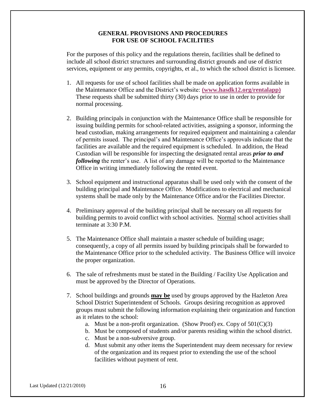#### **GENERAL PROVISIONS AND PROCEDURES FOR USE OF SCHOOL FACILITIES**

For the purposes of this policy and the regulations therein, facilities shall be defined to include all school district structures and surrounding district grounds and use of district services, equipment or any permits, copyrights, et al., to which the school district is licensee.

- 1. All requests for use of school facilities shall be made on application forms available in the Maintenance Office and the District's website: **(www.hasdk12.org/rentalapp)** These requests shall be submitted thirty (30) days prior to use in order to provide for normal processing.
- 2. Building principals in conjunction with the Maintenance Office shall be responsible for issuing building permits for school-related activities, assigning a sponsor, informing the head custodian, making arrangements for required equipment and maintaining a calendar of permits issued. The principal's and Maintenance Office's approvals indicate that the facilities are available and the required equipment is scheduled. In addition, the Head Custodian will be responsible for inspecting the designated rental areas *prior to and following* the renter's use. A list of any damage will be reported to the Maintenance Office in writing immediately following the rented event.
- 3. School equipment and instructional apparatus shall be used only with the consent of the building principal and Maintenance Office. Modifications to electrical and mechanical systems shall be made only by the Maintenance Office and/or the Facilities Director.
- 4. Preliminary approval of the building principal shall be necessary on all requests for building permits to avoid conflict with school activities. Normal school activities shall terminate at 3:30 P.M.
- 5. The Maintenance Office shall maintain a master schedule of building usage; consequently, a copy of all permits issued by building principals shall be forwarded to the Maintenance Office prior to the scheduled activity. The Business Office will invoice the proper organization.
- 6. The sale of refreshments must be stated in the Building / Facility Use Application and must be approved by the Director of Operations.
- 7. School buildings and grounds **may be** used by groups approved by the Hazleton Area School District Superintendent of Schools. Groups desiring recognition as approved groups must submit the following information explaining their organization and function as it relates to the school:
	- a. Must be a non-profit organization. (Show Proof) ex. Copy of  $501(C)(3)$
	- b. Must be composed of students and/or parents residing within the school district.
	- c. Must be a non-subversive group.
	- d. Must submit any other items the Superintendent may deem necessary for review of the organization and its request prior to extending the use of the school facilities without payment of rent.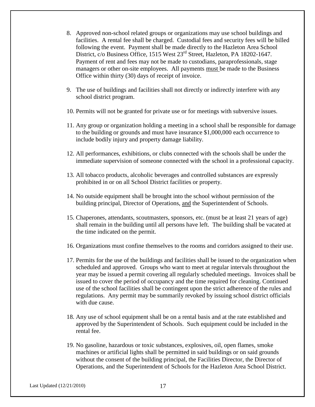- 8. Approved non-school related groups or organizations may use school buildings and facilities. A rental fee shall be charged. Custodial fees and security fees will be billed following the event. Payment shall be made directly to the Hazleton Area School District, c/o Business Office, 1515 West 23<sup>rd</sup> Street, Hazleton, PA 18202-1647. Payment of rent and fees may not be made to custodians, paraprofessionals, stage managers or other on-site employees. All payments must be made to the Business Office within thirty (30) days of receipt of invoice.
- 9. The use of buildings and facilities shall not directly or indirectly interfere with any school district program.
- 10. Permits will not be granted for private use or for meetings with subversive issues.
- 11. Any group or organization holding a meeting in a school shall be responsible for damage to the building or grounds and must have insurance \$1,000,000 each occurrence to include bodily injury and property damage liability.
- 12. All performances, exhibitions, or clubs connected with the schools shall be under the immediate supervision of someone connected with the school in a professional capacity.
- 13. All tobacco products, alcoholic beverages and controlled substances are expressly prohibited in or on all School District facilities or property.
- 14. No outside equipment shall be brought into the school without permission of the building principal, Director of Operations, and the Superintendent of Schools.
- 15. Chaperones, attendants, scoutmasters, sponsors, etc. (must be at least 21 years of age) shall remain in the building until all persons have left. The building shall be vacated at the time indicated on the permit.
- 16. Organizations must confine themselves to the rooms and corridors assigned to their use.
- 17. Permits for the use of the buildings and facilities shall be issued to the organization when scheduled and approved. Groups who want to meet at regular intervals throughout the year may be issued a permit covering all regularly scheduled meetings. Invoices shall be issued to cover the period of occupancy and the time required for cleaning. Continued use of the school facilities shall be contingent upon the strict adherence of the rules and regulations. Any permit may be summarily revoked by issuing school district officials with due cause.
- 18. Any use of school equipment shall be on a rental basis and at the rate established and approved by the Superintendent of Schools. Such equipment could be included in the rental fee.
- 19. No gasoline, hazardous or toxic substances, explosives, oil, open flames, smoke machines or artificial lights shall be permitted in said buildings or on said grounds without the consent of the building principal, the Facilities Director, the Director of Operations, and the Superintendent of Schools for the Hazleton Area School District.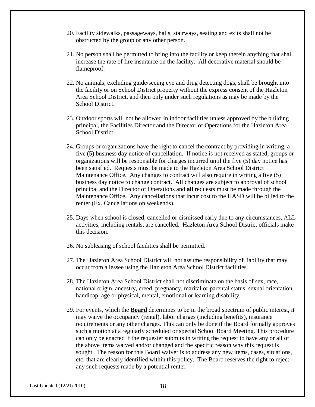- 20. Facility sidewalks, passageways, halls, stairways, seating and exits shall not be obstructed by the group or any other person.
- 21. No person shall be permitted to bring into the facility or keep therein anything that shall increase the rate of fire insurance on the facility. All decorative material should be flameproof.
- 22. No animals, excluding guide/seeing eye and drug detecting dogs, shall be brought into the facility or on School District property without the express consent of the Hazleton Area School District, and then only under such regulations as may be made by the School District.
- 23. Outdoor sports will not be allowed in indoor facilities unless approved by the building principal, the Facilities Director and the Director of Operations for the Hazleton Area School District.
- 24. Groups or organizations have the right to cancel the contract by providing in writing, a five (5) business day notice of cancellation. If notice is not received as stated, groups or organizations will be responsible for charges incurred until the five (5) day notice has been satisfied. Requests must be made to the Hazleton Area School District Maintenance Office. Any changes to contract will also require in writing a five (5) business day notice to change contract. All changes are subject to approval of school principal and the Director of Operations and **all** requests must be made through the Maintenance Office. Any cancellations that incur cost to the HASD will be billed to the renter (Ex. Cancellations on weekends).
- 25. Days when school is closed, cancelled or dismissed early due to any circumstances, ALL activities, including rentals, are cancelled. Hazleton Area School District officials make this decision.
- 26. No subleasing of school facilities shall be permitted.
- 27. The Hazleton Area School District will not assume responsibility of liability that may occur from a lessee using the Hazleton Area School District facilities.
- 28. The Hazleton Area School District shall not discriminate on the basis of sex, race, national origin, ancestry, creed, pregnancy, marital or parental status, sexual orientation, handicap, age or physical, mental, emotional or learning disability.
- 29. For events, which the **Board** determines to be in the broad spectrum of public interest, it may waive the occupancy (rental), labor charges (including benefits), insurance requirements or any other charges. This can only be done if the Board formally approves such a motion at a regularly scheduled or special School Board Meeting. This procedure can only be enacted if the requester submits in writing the request to have any or all of the above items waived and/or changed and the specific reason why this request is sought. The reason for this Board waiver is to address any new items, cases, situations, etc. that are clearly identified within this policy. The Board reserves the right to reject any such requests made by a potential renter.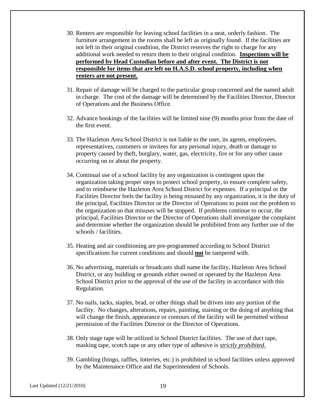- 30. Renters are responsible for leaving school facilities in a neat, orderly fashion. The furniture arrangement in the rooms shall be left as originally found. If the facilities are not left in their original condition, the District reserves the right to charge for any additional work needed to return them to their original condition. **Inspections will be performed by Head Custodian before and after event. The District is not responsible for items that are left on H.A.S.D. school property, including when renters are not present.**
- 31. Repair of damage will be charged to the particular group concerned and the named adult in charge. The cost of the damage will be determined by the Facilities Director, Director of Operations and the Business Office.
- 32. Advance bookings of the facilities will be limited nine (9) months prior from the date of the first event.
- 33. The Hazleton Area School District is not liable to the user, its agents, employees, representatives, customers or invitees for any personal injury, death or damage to property caused by theft, burglary, water, gas, electricity, fire or for any other cause occurring on or about the property.
- 34. Continual use of a school facility by any organization is contingent upon the organization taking proper steps to protect school property, to ensure complete safety, and to reimburse the Hazleton Area School District for expenses. If a principal or the Facilities Director feels the facility is being misused by any organization, it is the duty of the principal, Facilities Director or the Director of Operations to point out the problem to the organization so that misuses will be stopped. If problems continue to occur, the principal, Facilities Director or the Director of Operations shall investigate the complaint and determine whether the organization should be prohibited from any further use of the schools / facilities.
- 35. Heating and air conditioning are pre-programmed according to School District specifications for current conditions and should **not** be tampered with.
- 36. No advertising, materials or broadcasts shall name the facility, Hazleton Area School District, or any building or grounds either owned or operated by the Hazleton Area School District prior to the approval of the use of the facility in accordance with this Regulation.
- 37. No nails, tacks, staples, brad, or other things shall be driven into any portion of the facility. No changes, alterations, repairs, painting, staining or the doing of anything that will change the finish, appearance or contours of the facility will be permitted without permission of the Facilities Director or the Director of Operations.
- 38. Only stage tape will be utilized in School District facilities. The use of duct tape, masking tape, scotch tape or any other type of adhesive is *strictly prohibited.*
- 39. Gambling (bingo, raffles, lotteries, etc.) is prohibited in school facilities unless approved by the Maintenance Office and the Superintendent of Schools.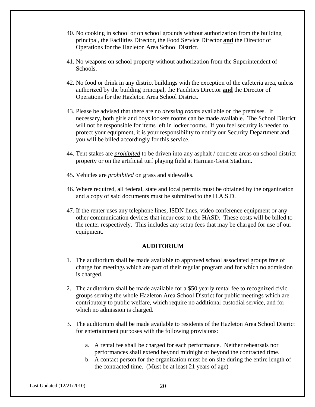- 40. No cooking in school or on school grounds without authorization from the building principal, the Facilities Director, the Food Service Director **and** the Director of Operations for the Hazleton Area School District.
- 41. No weapons on school property without authorization from the Superintendent of Schools.
- 42. No food or drink in any district buildings with the exception of the cafeteria area, unless authorized by the building principal, the Facilities Director **and** the Director of Operations for the Hazleton Area School District.
- 43. Please be advised that there are no *dressing rooms* available on the premises. If necessary, both girls and boys lockers rooms can be made available. The School District will not be responsible for items left in locker rooms. If you feel security is needed to protect your equipment, it is your responsibility to notify our Security Department and you will be billed accordingly for this service.
- 44. Tent stakes are *prohibited* to be driven into any asphalt / concrete areas on school district property or on the artificial turf playing field at Harman-Geist Stadium.
- 45. Vehicles are *prohibited* on grass and sidewalks.
- 46. Where required, all federal, state and local permits must be obtained by the organization and a copy of said documents must be submitted to the H.A.S.D.
- 47. If the renter uses any telephone lines, ISDN lines, video conference equipment or any other communication devices that incur cost to the HASD. These costs will be billed to the renter respectively. This includes any setup fees that may be charged for use of our equipment.

#### **AUDITORIUM**

- 1. The auditorium shall be made available to approved school associated groups free of charge for meetings which are part of their regular program and for which no admission is charged.
- 2. The auditorium shall be made available for a \$50 yearly rental fee to recognized civic groups serving the whole Hazleton Area School District for public meetings which are contributory to public welfare, which require no additional custodial service, and for which no admission is charged.
- 3. The auditorium shall be made available to residents of the Hazleton Area School District for entertainment purposes with the following provisions:
	- a. A rental fee shall be charged for each performance. Neither rehearsals nor performances shall extend beyond midnight or beyond the contracted time.
	- b. A contact person for the organization must be on site during the entire length of the contracted time. (Must be at least 21 years of age)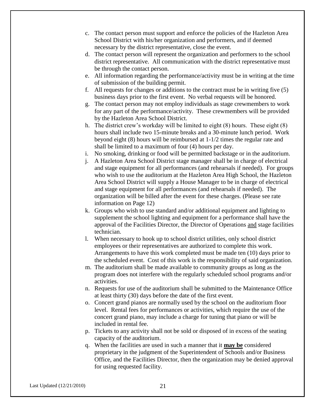- c. The contact person must support and enforce the policies of the Hazleton Area School District with his/her organization and performers, and if deemed necessary by the district representative, close the event.
- d. The contact person will represent the organization and performers to the school district representative. All communication with the district representative must be through the contact person.
- e. All information regarding the performance/activity must be in writing at the time of submission of the building permit.
- f. All requests for changes or additions to the contract must be in writing five (5) business days prior to the first event. No verbal requests will be honored.
- g. The contact person may not employ individuals as stage crewmembers to work for any part of the performance/activity. These crewmembers will be provided by the Hazleton Area School District.
- h. The district crew's workday will be limited to eight (8) hours. These eight (8) hours shall include two 15-minute breaks and a 30-minute lunch period. Work beyond eight (8) hours will be reimbursed at 1-1/2 times the regular rate and shall be limited to a maximum of four (4) hours per day.
- i. No smoking, drinking or food will be permitted backstage or in the auditorium.
- j. A Hazleton Area School District stage manager shall be in charge of electrical and stage equipment for all performances (and rehearsals if needed). For groups who wish to use the auditorium at the Hazleton Area High School, the Hazleton Area School District will supply a House Manager to be in charge of electrical and stage equipment for all performances (and rehearsals if needed). The organization will be billed after the event for these charges. (Please see rate information on Page 12)
- k. Groups who wish to use standard and/or additional equipment and lighting to supplement the school lighting and equipment for a performance shall have the approval of the Facilities Director, the Director of Operations and stage facilities technician.
- l. When necessary to hook up to school district utilities, only school district employees or their representatives are authorized to complete this work. Arrangements to have this work completed must be made ten (10) days prior to the scheduled event. Cost of this work is the responsibility of said organization.
- m. The auditorium shall be made available to community groups as long as the program does not interfere with the regularly scheduled school programs and/or activities.
- n. Requests for use of the auditorium shall be submitted to the Maintenance Office at least thirty (30) days before the date of the first event.
- o. Concert grand pianos are normally used by the school on the auditorium floor level. Rental fees for performances or activities, which require the use of the concert grand piano, may include a charge for tuning that piano or will be included in rental fee.
- p. Tickets to any activity shall not be sold or disposed of in excess of the seating capacity of the auditorium.
- q. When the facilities are used in such a manner that it **may be** considered proprietary in the judgment of the Superintendent of Schools and/or Business Office, and the Facilities Director, then the organization may be denied approval for using requested facility.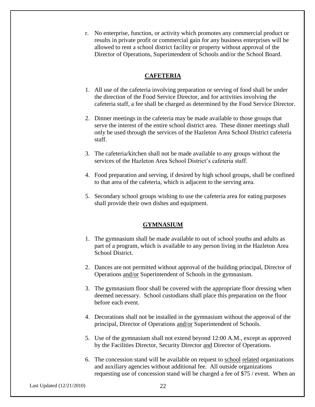r. No enterprise, function, or activity which promotes any commercial product or results in private profit or commercial gain for any business enterprises will be allowed to rent a school district facility or property without approval of the Director of Operations, Superintendent of Schools and/or the School Board.

### **CAFETERIA**

- 1. All use of the cafeteria involving preparation or serving of food shall be under the direction of the Food Service Director, and for activities involving the cafeteria staff, a fee shall be charged as determined by the Food Service Director.
- 2. Dinner meetings in the cafeteria may be made available to those groups that serve the interest of the entire school district area. These dinner meetings shall only be used through the services of the Hazleton Area School District cafeteria staff.
- 3. The cafeteria/kitchen shall not be made available to any groups without the services of the Hazleton Area School District's cafeteria staff.
- 4. Food preparation and serving, if desired by high school groups, shall be confined to that area of the cafeteria, which is adjacent to the serving area.
- 5. Secondary school groups wishing to use the cafeteria area for eating purposes shall provide their own dishes and equipment.

#### **GYMNASIUM**

- 1. The gymnasium shall be made available to out of school youths and adults as part of a program, which is available to any person living in the Hazleton Area School District.
- 2. Dances are not permitted without approval of the building principal, Director of Operations and/or Superintendent of Schools in the gymnasium.
- 3. The gymnasium floor shall be covered with the appropriate floor dressing when deemed necessary. School custodians shall place this preparation on the floor before each event.
- 4. Decorations shall not be installed in the gymnasium without the approval of the principal, Director of Operations and/or Superintendent of Schools.
- 5. Use of the gymnasium shall not extend beyond 12:00 A.M., except as approved by the Facilities Director, Security Director and Director of Operations.
- 6. The concession stand will be available on request to school related organizations and auxiliary agencies without additional fee. All outside organizations requesting use of concession stand will be charged a fee of \$75 / event. When an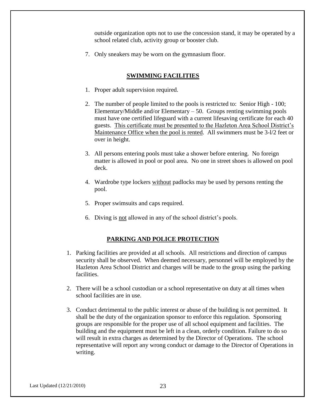outside organization opts not to use the concession stand, it may be operated by a school related club, activity group or booster club.

7. Only sneakers may be worn on the gymnasium floor.

#### **SWIMMING FACILITIES**

- 1. Proper adult supervision required.
- 2. The number of people limited to the pools is restricted to: Senior High 100; Elementary/Middle and/or Elementary  $-50$ . Groups renting swimming pools must have one certified lifeguard with a current lifesaving certificate for each 40 guests. This certificate must be presented to the Hazleton Area School District's Maintenance Office when the pool is rented. All swimmers must be 3-l/2 feet or over in height.
- 3. All persons entering pools must take a shower before entering. No foreign matter is allowed in pool or pool area. No one in street shoes is allowed on pool deck.
- 4. Wardrobe type lockers without padlocks may be used by persons renting the pool.
- 5. Proper swimsuits and caps required.
- 6. Diving is not allowed in any of the school district's pools.

### **PARKING AND POLICE PROTECTION**

- 1. Parking facilities are provided at all schools. All restrictions and direction of campus security shall be observed. When deemed necessary, personnel will be employed by the Hazleton Area School District and charges will be made to the group using the parking facilities.
- 2. There will be a school custodian or a school representative on duty at all times when school facilities are in use.
- 3. Conduct detrimental to the public interest or abuse of the building is not permitted. It shall be the duty of the organization sponsor to enforce this regulation. Sponsoring groups are responsible for the proper use of all school equipment and facilities. The building and the equipment must be left in a clean, orderly condition. Failure to do so will result in extra charges as determined by the Director of Operations. The school representative will report any wrong conduct or damage to the Director of Operations in writing.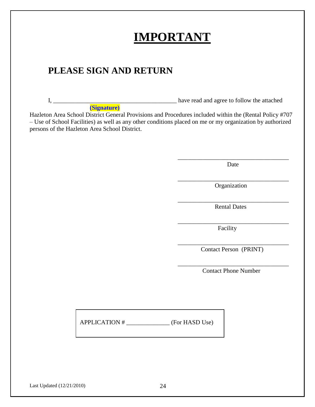|                               | PLEASE SIGN AND RETURN                        |                                                                                                                                                                                                                      |
|-------------------------------|-----------------------------------------------|----------------------------------------------------------------------------------------------------------------------------------------------------------------------------------------------------------------------|
| $I, \underline{\hspace{2cm}}$ | (Signature)                                   | have read and agree to follow the attached                                                                                                                                                                           |
|                               | persons of the Hazleton Area School District. | Hazleton Area School District General Provisions and Procedures included within the (Rental Policy #707<br>- Use of School Facilities) as well as any other conditions placed on me or my organization by authorized |
|                               |                                               | Date                                                                                                                                                                                                                 |
|                               |                                               | Organization                                                                                                                                                                                                         |
|                               |                                               | <b>Rental Dates</b>                                                                                                                                                                                                  |
|                               |                                               | Facility                                                                                                                                                                                                             |
|                               |                                               | Contact Person (PRINT)                                                                                                                                                                                               |
|                               |                                               | <b>Contact Phone Number</b>                                                                                                                                                                                          |
|                               |                                               |                                                                                                                                                                                                                      |
|                               |                                               |                                                                                                                                                                                                                      |